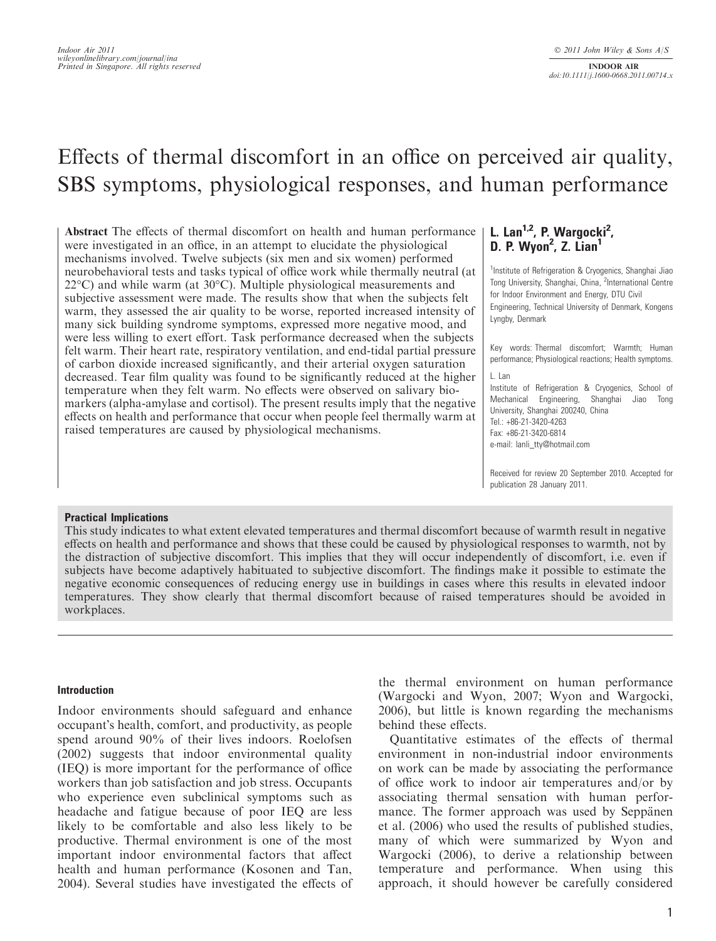# Effects of thermal discomfort in an office on perceived air quality, SBS symptoms, physiological responses, and human performance

Abstract The effects of thermal discomfort on health and human performance were investigated in an office, in an attempt to elucidate the physiological mechanisms involved. Twelve subjects (six men and six women) performed neurobehavioral tests and tasks typical of office work while thermally neutral (at  $22^{\circ}$ C) and while warm (at 30 $^{\circ}$ C). Multiple physiological measurements and subjective assessment were made. The results show that when the subjects felt warm, they assessed the air quality to be worse, reported increased intensity of many sick building syndrome symptoms, expressed more negative mood, and were less willing to exert effort. Task performance decreased when the subjects felt warm. Their heart rate, respiratory ventilation, and end-tidal partial pressure of carbon dioxide increased significantly, and their arterial oxygen saturation decreased. Tear film quality was found to be significantly reduced at the higher temperature when they felt warm. No effects were observed on salivary biomarkers (alpha-amylase and cortisol). The present results imply that the negative effects on health and performance that occur when people feel thermally warm at raised temperatures are caused by physiological mechanisms.

# L. Lan<sup>1,2</sup>, P. Wargocki<sup>2</sup>, D. P. Wyon<sup>2</sup>, Z. Lian<sup>1</sup>

<sup>1</sup>Institute of Refrigeration & Cryogenics, Shanghai Jiao Tong University, Shanghai, China, <sup>2</sup>International Centre for Indoor Environment and Energy, DTU Civil Engineering, Technical University of Denmark, Kongens Lyngby, Denmark

Key words: Thermal discomfort; Warmth; Human performance; Physiological reactions; Health symptoms.

L. Lan

Institute of Refrigeration & Cryogenics, School of Mechanical Engineering, Shanghai Jiao Tong University, Shanghai 200240, China Tel.: +86-21-3420-4263 Fax: +86-21-3420-6814 e-mail: lanli\_tty@hotmail.com

Received for review 20 September 2010. Accepted for publication 28 January 2011.

## Practical Implications

This study indicates to what extent elevated temperatures and thermal discomfort because of warmth result in negative effects on health and performance and shows that these could be caused by physiological responses to warmth, not by the distraction of subjective discomfort. This implies that they will occur independently of discomfort, i.e. even if subjects have become adaptively habituated to subjective discomfort. The findings make it possible to estimate the negative economic consequences of reducing energy use in buildings in cases where this results in elevated indoor temperatures. They show clearly that thermal discomfort because of raised temperatures should be avoided in workplaces.

## Introduction

Indoor environments should safeguard and enhance occupant's health, comfort, and productivity, as people spend around 90% of their lives indoors. Roelofsen (2002) suggests that indoor environmental quality (IEQ) is more important for the performance of office workers than job satisfaction and job stress. Occupants who experience even subclinical symptoms such as headache and fatigue because of poor IEQ are less likely to be comfortable and also less likely to be productive. Thermal environment is one of the most important indoor environmental factors that affect health and human performance (Kosonen and Tan, 2004). Several studies have investigated the effects of the thermal environment on human performance (Wargocki and Wyon, 2007; Wyon and Wargocki, 2006), but little is known regarding the mechanisms behind these effects.

Quantitative estimates of the effects of thermal environment in non-industrial indoor environments on work can be made by associating the performance of office work to indoor air temperatures and/or by associating thermal sensation with human performance. The former approach was used by Seppanen et al. (2006) who used the results of published studies, many of which were summarized by Wyon and Wargocki (2006), to derive a relationship between temperature and performance. When using this approach, it should however be carefully considered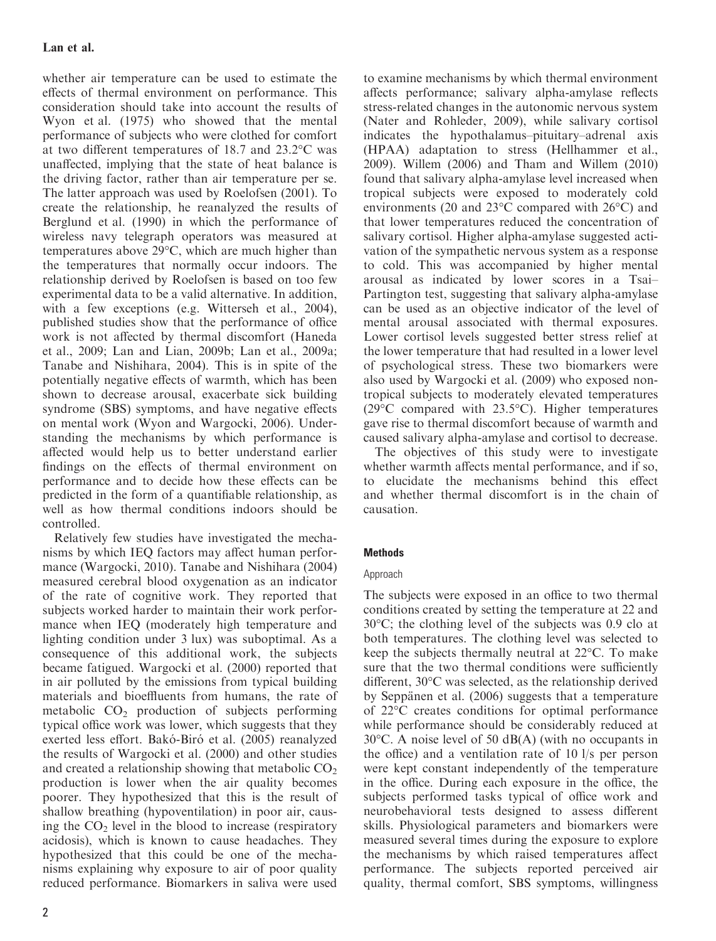# Lan et al.

whether air temperature can be used to estimate the effects of thermal environment on performance. This consideration should take into account the results of Wyon et al. (1975) who showed that the mental performance of subjects who were clothed for comfort at two different temperatures of  $18.7$  and  $23.2^{\circ}\mathrm{C}$  was unaffected, implying that the state of heat balance is the driving factor, rather than air temperature per se. The latter approach was used by Roelofsen (2001). To create the relationship, he reanalyzed the results of Berglund et al. (1990) in which the performance of wireless navy telegraph operators was measured at temperatures above 29°C, which are much higher than the temperatures that normally occur indoors. The relationship derived by Roelofsen is based on too few experimental data to be a valid alternative. In addition, with a few exceptions (e.g. Witterseh et al., 2004), published studies show that the performance of office work is not affected by thermal discomfort (Haneda et al., 2009; Lan and Lian, 2009b; Lan et al., 2009a; Tanabe and Nishihara, 2004). This is in spite of the potentially negative effects of warmth, which has been shown to decrease arousal, exacerbate sick building syndrome (SBS) symptoms, and have negative effects on mental work (Wyon and Wargocki, 2006). Understanding the mechanisms by which performance is affected would help us to better understand earlier findings on the effects of thermal environment on performance and to decide how these effects can be predicted in the form of a quantifiable relationship, as well as how thermal conditions indoors should be controlled.

Relatively few studies have investigated the mechanisms by which IEQ factors may affect human performance (Wargocki, 2010). Tanabe and Nishihara (2004) measured cerebral blood oxygenation as an indicator of the rate of cognitive work. They reported that subjects worked harder to maintain their work performance when IEQ (moderately high temperature and lighting condition under 3 lux) was suboptimal. As a consequence of this additional work, the subjects became fatigued. Wargocki et al. (2000) reported that in air polluted by the emissions from typical building materials and bioeffluents from humans, the rate of metabolic  $CO<sub>2</sub>$  production of subjects performing typical office work was lower, which suggests that they exerted less effort. Bakó-Biró et al. (2005) reanalyzed the results of Wargocki et al. (2000) and other studies and created a relationship showing that metabolic  $CO<sub>2</sub>$ production is lower when the air quality becomes poorer. They hypothesized that this is the result of shallow breathing (hypoventilation) in poor air, causing the  $CO<sub>2</sub>$  level in the blood to increase (respiratory acidosis), which is known to cause headaches. They hypothesized that this could be one of the mechanisms explaining why exposure to air of poor quality reduced performance. Biomarkers in saliva were used

to examine mechanisms by which thermal environment affects performance; salivary alpha-amylase reflects stress-related changes in the autonomic nervous system (Nater and Rohleder, 2009), while salivary cortisol indicates the hypothalamus–pituitary–adrenal axis (HPAA) adaptation to stress (Hellhammer et al., 2009). Willem (2006) and Tham and Willem (2010) found that salivary alpha-amylase level increased when tropical subjects were exposed to moderately cold environments (20 and  $23^{\circ}$ C compared with  $26^{\circ}$ C) and that lower temperatures reduced the concentration of salivary cortisol. Higher alpha-amylase suggested activation of the sympathetic nervous system as a response to cold. This was accompanied by higher mental arousal as indicated by lower scores in a Tsai– Partington test, suggesting that salivary alpha-amylase can be used as an objective indicator of the level of mental arousal associated with thermal exposures. Lower cortisol levels suggested better stress relief at the lower temperature that had resulted in a lower level of psychological stress. These two biomarkers were also used by Wargocki et al. (2009) who exposed nontropical subjects to moderately elevated temperatures  $(29^{\circ}$ C compared with 23.5 $^{\circ}$ C). Higher temperatures gave rise to thermal discomfort because of warmth and caused salivary alpha-amylase and cortisol to decrease.

The objectives of this study were to investigate whether warmth affects mental performance, and if so, to elucidate the mechanisms behind this effect and whether thermal discomfort is in the chain of causation.

# **Methods**

## Approach

The subjects were exposed in an office to two thermal conditions created by setting the temperature at 22 and  $30^{\circ}$ C; the clothing level of the subjects was 0.9 clo at both temperatures. The clothing level was selected to keep the subjects thermally neutral at  $22^{\circ}$ C. To make sure that the two thermal conditions were sufficiently different,  $30^{\circ}$ C was selected, as the relationship derived by Seppanen et al. (2006) suggests that a temperature of 22°C creates conditions for optimal performance while performance should be considerably reduced at  $30^{\circ}$ C. A noise level of 50 dB(A) (with no occupants in the office) and a ventilation rate of 10 l/s per person were kept constant independently of the temperature in the office. During each exposure in the office, the subjects performed tasks typical of office work and neurobehavioral tests designed to assess different skills. Physiological parameters and biomarkers were measured several times during the exposure to explore the mechanisms by which raised temperatures affect performance. The subjects reported perceived air quality, thermal comfort, SBS symptoms, willingness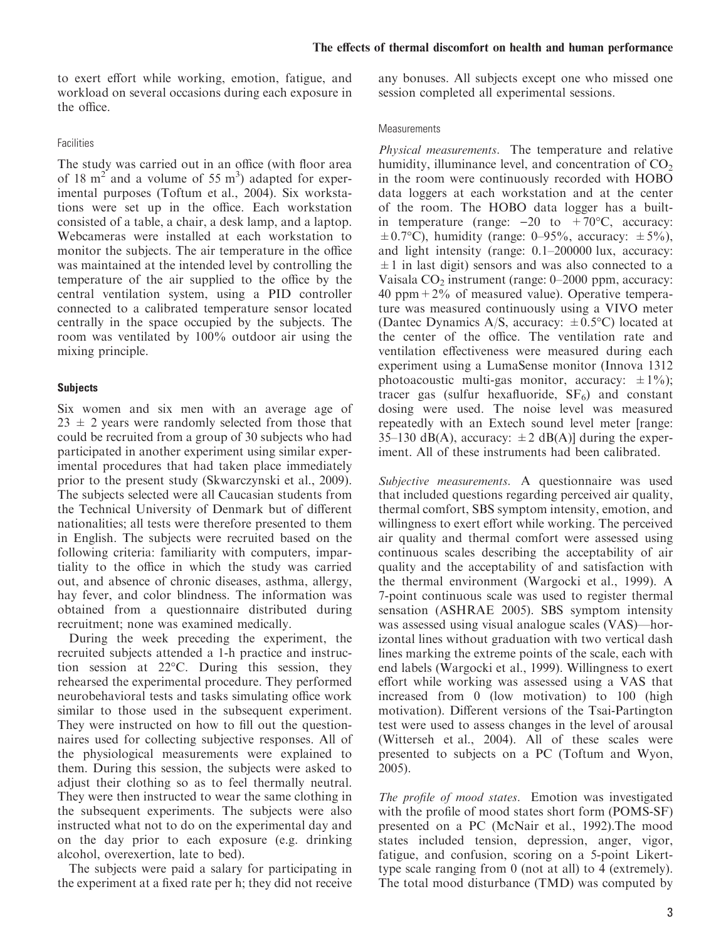to exert effort while working, emotion, fatigue, and workload on several occasions during each exposure in the office.

### Facilities

The study was carried out in an office (with floor area of 18  $m^2$  and a volume of 55  $m^3$ ) adapted for experimental purposes (Toftum et al., 2004). Six workstations were set up in the office. Each workstation consisted of a table, a chair, a desk lamp, and a laptop. Webcameras were installed at each workstation to monitor the subjects. The air temperature in the office was maintained at the intended level by controlling the temperature of the air supplied to the office by the central ventilation system, using a PID controller connected to a calibrated temperature sensor located centrally in the space occupied by the subjects. The room was ventilated by 100% outdoor air using the mixing principle.

### **Subjects**

Six women and six men with an average age of  $23 \pm 2$  years were randomly selected from those that could be recruited from a group of 30 subjects who had participated in another experiment using similar experimental procedures that had taken place immediately prior to the present study (Skwarczynski et al., 2009). The subjects selected were all Caucasian students from the Technical University of Denmark but of different nationalities; all tests were therefore presented to them in English. The subjects were recruited based on the following criteria: familiarity with computers, impartiality to the office in which the study was carried out, and absence of chronic diseases, asthma, allergy, hay fever, and color blindness. The information was obtained from a questionnaire distributed during recruitment; none was examined medically.

During the week preceding the experiment, the recruited subjects attended a 1-h practice and instruction session at 22°C. During this session, they rehearsed the experimental procedure. They performed neurobehavioral tests and tasks simulating office work similar to those used in the subsequent experiment. They were instructed on how to fill out the questionnaires used for collecting subjective responses. All of the physiological measurements were explained to them. During this session, the subjects were asked to adjust their clothing so as to feel thermally neutral. They were then instructed to wear the same clothing in the subsequent experiments. The subjects were also instructed what not to do on the experimental day and on the day prior to each exposure (e.g. drinking alcohol, overexertion, late to bed).

The subjects were paid a salary for participating in the experiment at a fixed rate per h; they did not receive any bonuses. All subjects except one who missed one session completed all experimental sessions.

### **Measurements**

Physical measurements. The temperature and relative humidity, illuminance level, and concentration of  $CO<sub>2</sub>$ in the room were continuously recorded with HOBO data loggers at each workstation and at the center of the room. The HOBO data logger has a builtin temperature (range:  $-20$  to  $+70^{\circ}$ C, accuracy:  $\pm 0.7$ °C), humidity (range: 0–95%, accuracy:  $\pm 5\%$ ), and light intensity (range: 0.1–200000 lux, accuracy:  $\pm$ 1 in last digit) sensors and was also connected to a Vaisala  $CO<sub>2</sub>$  instrument (range:  $0-2000$  ppm, accuracy: 40 ppm  $+2\%$  of measured value). Operative temperature was measured continuously using a VIVO meter (Dantec Dynamics A/S, accuracy:  $\pm 0.5$ °C) located at the center of the office. The ventilation rate and ventilation effectiveness were measured during each experiment using a LumaSense monitor (Innova 1312 photoacoustic multi-gas monitor, accuracy:  $\pm 1\%$ ; tracer gas (sulfur hexafluoride,  $SF<sub>6</sub>$ ) and constant dosing were used. The noise level was measured repeatedly with an Extech sound level meter [range: 35–130 dB(A), accuracy:  $\pm 2$  dB(A)] during the experiment. All of these instruments had been calibrated.

Subjective measurements. A questionnaire was used that included questions regarding perceived air quality, thermal comfort, SBS symptom intensity, emotion, and willingness to exert effort while working. The perceived air quality and thermal comfort were assessed using continuous scales describing the acceptability of air quality and the acceptability of and satisfaction with the thermal environment (Wargocki et al., 1999). A 7-point continuous scale was used to register thermal sensation (ASHRAE 2005). SBS symptom intensity was assessed using visual analogue scales (VAS)—horizontal lines without graduation with two vertical dash lines marking the extreme points of the scale, each with end labels (Wargocki et al., 1999). Willingness to exert effort while working was assessed using a VAS that increased from 0 (low motivation) to 100 (high motivation). Different versions of the Tsai-Partington test were used to assess changes in the level of arousal (Witterseh et al., 2004). All of these scales were presented to subjects on a PC (Toftum and Wyon, 2005).

The profile of mood states. Emotion was investigated with the profile of mood states short form (POMS-SF) presented on a PC (McNair et al., 1992).The mood states included tension, depression, anger, vigor, fatigue, and confusion, scoring on a 5-point Likerttype scale ranging from 0 (not at all) to 4 (extremely). The total mood disturbance (TMD) was computed by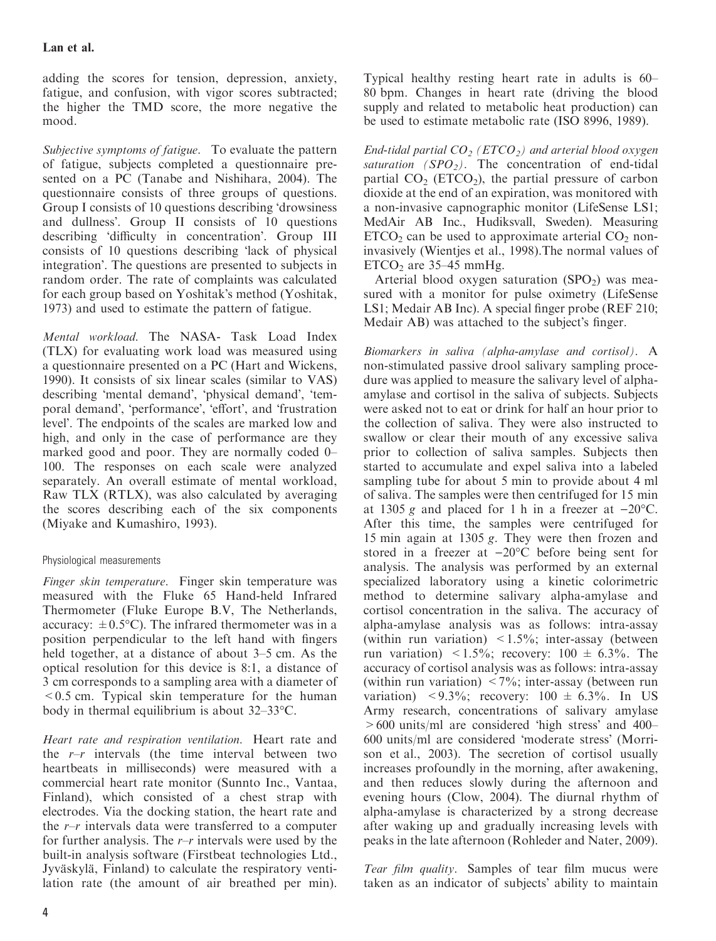adding the scores for tension, depression, anxiety, fatigue, and confusion, with vigor scores subtracted; the higher the TMD score, the more negative the mood.

Subjective symptoms of fatigue. To evaluate the pattern of fatigue, subjects completed a questionnaire presented on a PC (Tanabe and Nishihara, 2004). The questionnaire consists of three groups of questions. Group I consists of 10 questions describing 'drowsiness' and dullness'. Group II consists of 10 questions describing 'difficulty in concentration'. Group III consists of 10 questions describing lack of physical integration'. The questions are presented to subjects in random order. The rate of complaints was calculated for each group based on Yoshitak-s method (Yoshitak, 1973) and used to estimate the pattern of fatigue.

Mental workload. The NASA- Task Load Index (TLX) for evaluating work load was measured using a questionnaire presented on a PC (Hart and Wickens, 1990). It consists of six linear scales (similar to VAS) describing 'mental demand', 'physical demand', 'temporal demand', 'performance', 'effort', and 'frustration level'. The endpoints of the scales are marked low and high, and only in the case of performance are they marked good and poor. They are normally coded 0– 100. The responses on each scale were analyzed separately. An overall estimate of mental workload, Raw TLX (RTLX), was also calculated by averaging the scores describing each of the six components (Miyake and Kumashiro, 1993).

# Physiological measurements

Finger skin temperature. Finger skin temperature was measured with the Fluke 65 Hand-held Infrared Thermometer (Fluke Europe B.V, The Netherlands, accuracy:  $\pm 0.5$ °C). The infrared thermometer was in a position perpendicular to the left hand with fingers held together, at a distance of about 3–5 cm. As the optical resolution for this device is 8:1, a distance of 3 cm corresponds to a sampling area with a diameter of  $\leq$  0.5 cm. Typical skin temperature for the human body in thermal equilibrium is about  $32-33$ °C.

Heart rate and respiration ventilation. Heart rate and the  $r-r$  intervals (the time interval between two heartbeats in milliseconds) were measured with a commercial heart rate monitor (Sunnto Inc., Vantaa, Finland), which consisted of a chest strap with electrodes. Via the docking station, the heart rate and the  $r-r$  intervals data were transferred to a computer for further analysis. The  $r-r$  intervals were used by the built-in analysis software (Firstbeat technologies Ltd., Jyväskylä, Finland) to calculate the respiratory ventilation rate (the amount of air breathed per min). Typical healthy resting heart rate in adults is 60– 80 bpm. Changes in heart rate (driving the blood supply and related to metabolic heat production) can be used to estimate metabolic rate (ISO 8996, 1989).

End-tidal partial  $CO<sub>2</sub>$  (ETCO<sub>2</sub>) and arterial blood oxygen saturation  $(SPO<sub>2</sub>)$ . The concentration of end-tidal partial  $CO<sub>2</sub>$  (ETCO<sub>2</sub>), the partial pressure of carbon dioxide at the end of an expiration, was monitored with a non-invasive capnographic monitor (LifeSense LS1; MedAir AB Inc., Hudiksvall, Sweden). Measuring  $ETCO<sub>2</sub>$  can be used to approximate arterial  $CO<sub>2</sub>$  noninvasively (Wientjes et al., 1998).The normal values of  $ETCO<sub>2</sub>$  are 35–45 mmHg.

Arterial blood oxygen saturation  $(SPO<sub>2</sub>)$  was measured with a monitor for pulse oximetry (LifeSense LS1; Medair AB Inc). A special finger probe (REF 210; Medair AB) was attached to the subject's finger.

Biomarkers in saliva (alpha-amylase and cortisol). A non-stimulated passive drool salivary sampling procedure was applied to measure the salivary level of alphaamylase and cortisol in the saliva of subjects. Subjects were asked not to eat or drink for half an hour prior to the collection of saliva. They were also instructed to swallow or clear their mouth of any excessive saliva prior to collection of saliva samples. Subjects then started to accumulate and expel saliva into a labeled sampling tube for about 5 min to provide about 4 ml of saliva. The samples were then centrifuged for 15 min at 1305 g and placed for 1 h in a freezer at  $-20^{\circ}$ C. After this time, the samples were centrifuged for 15 min again at 1305 g. They were then frozen and stored in a freezer at  $-20^{\circ}$ C before being sent for analysis. The analysis was performed by an external specialized laboratory using a kinetic colorimetric method to determine salivary alpha-amylase and cortisol concentration in the saliva. The accuracy of alpha-amylase analysis was as follows: intra-assay (within run variation)  $\leq 1.5\%$ ; inter-assay (between run variation)  $\lt 1.5\%$ ; recovery:  $100 \pm 6.3\%$ . The accuracy of cortisol analysis was as follows: intra-assay (within run variation)  $\langle 7\% \rangle$ ; inter-assay (between run variation) <9.3%; recovery:  $100 \pm 6.3$ %. In US Army research, concentrations of salivary amylase  $>600$  units/ml are considered 'high stress' and 400– 600 units/ml are considered 'moderate stress' (Morrison et al., 2003). The secretion of cortisol usually increases profoundly in the morning, after awakening, and then reduces slowly during the afternoon and evening hours (Clow, 2004). The diurnal rhythm of alpha-amylase is characterized by a strong decrease after waking up and gradually increasing levels with peaks in the late afternoon (Rohleder and Nater, 2009).

Tear film quality. Samples of tear film mucus were taken as an indicator of subjects' ability to maintain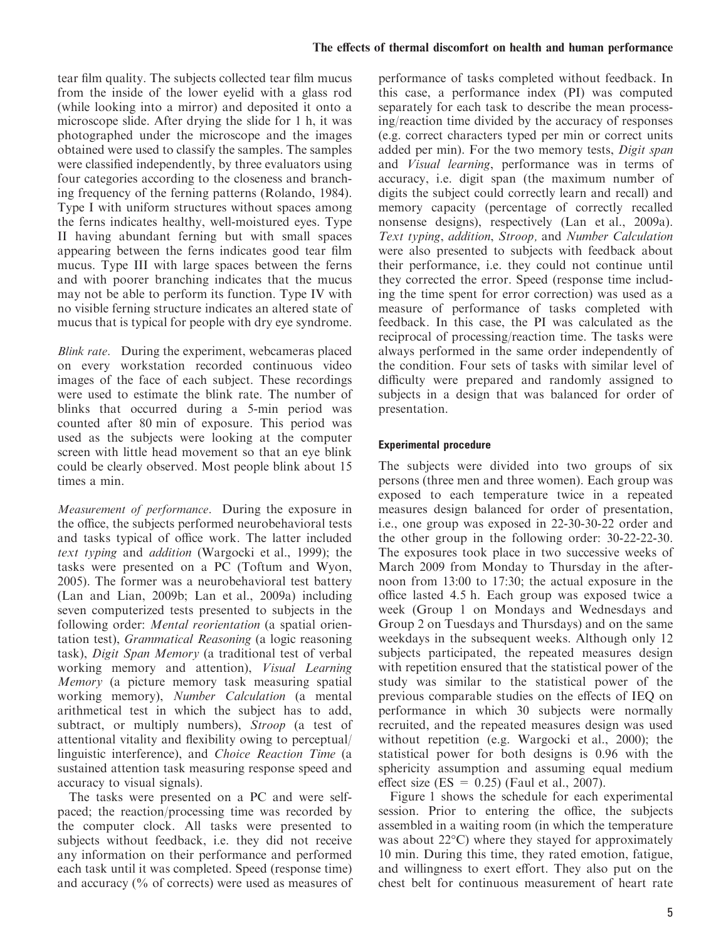tear film quality. The subjects collected tear film mucus from the inside of the lower eyelid with a glass rod (while looking into a mirror) and deposited it onto a microscope slide. After drying the slide for 1 h, it was photographed under the microscope and the images obtained were used to classify the samples. The samples were classified independently, by three evaluators using four categories according to the closeness and branching frequency of the ferning patterns (Rolando, 1984). Type I with uniform structures without spaces among the ferns indicates healthy, well-moistured eyes. Type II having abundant ferning but with small spaces appearing between the ferns indicates good tear film mucus. Type III with large spaces between the ferns and with poorer branching indicates that the mucus may not be able to perform its function. Type IV with no visible ferning structure indicates an altered state of mucus that is typical for people with dry eye syndrome.

Blink rate. During the experiment, webcameras placed on every workstation recorded continuous video images of the face of each subject. These recordings were used to estimate the blink rate. The number of blinks that occurred during a 5-min period was counted after 80 min of exposure. This period was used as the subjects were looking at the computer screen with little head movement so that an eye blink could be clearly observed. Most people blink about 15 times a min.

Measurement of performance. During the exposure in the office, the subjects performed neurobehavioral tests and tasks typical of office work. The latter included text typing and addition (Wargocki et al., 1999); the tasks were presented on a PC (Toftum and Wyon, 2005). The former was a neurobehavioral test battery (Lan and Lian, 2009b; Lan et al., 2009a) including seven computerized tests presented to subjects in the following order: *Mental reorientation* (a spatial orientation test), Grammatical Reasoning (a logic reasoning task), Digit Span Memory (a traditional test of verbal working memory and attention), Visual Learning Memory (a picture memory task measuring spatial working memory), Number Calculation (a mental arithmetical test in which the subject has to add, subtract, or multiply numbers), Stroop (a test of attentional vitality and flexibility owing to perceptual/ linguistic interference), and Choice Reaction Time (a sustained attention task measuring response speed and accuracy to visual signals).

The tasks were presented on a PC and were selfpaced; the reaction/processing time was recorded by the computer clock. All tasks were presented to subjects without feedback, i.e. they did not receive any information on their performance and performed each task until it was completed. Speed (response time) and accuracy (% of corrects) were used as measures of performance of tasks completed without feedback. In this case, a performance index (PI) was computed separately for each task to describe the mean processing/reaction time divided by the accuracy of responses (e.g. correct characters typed per min or correct units added per min). For the two memory tests, *Digit span* and Visual learning, performance was in terms of accuracy, i.e. digit span (the maximum number of digits the subject could correctly learn and recall) and memory capacity (percentage of correctly recalled nonsense designs), respectively (Lan et al., 2009a). Text typing, addition, Stroop, and Number Calculation were also presented to subjects with feedback about their performance, i.e. they could not continue until they corrected the error. Speed (response time including the time spent for error correction) was used as a measure of performance of tasks completed with feedback. In this case, the PI was calculated as the reciprocal of processing/reaction time. The tasks were always performed in the same order independently of the condition. Four sets of tasks with similar level of difficulty were prepared and randomly assigned to subjects in a design that was balanced for order of presentation.

# Experimental procedure

The subjects were divided into two groups of six persons (three men and three women). Each group was exposed to each temperature twice in a repeated measures design balanced for order of presentation, i.e., one group was exposed in 22-30-30-22 order and the other group in the following order: 30-22-22-30. The exposures took place in two successive weeks of March 2009 from Monday to Thursday in the afternoon from 13:00 to 17:30; the actual exposure in the office lasted 4.5 h. Each group was exposed twice a week (Group 1 on Mondays and Wednesdays and Group 2 on Tuesdays and Thursdays) and on the same weekdays in the subsequent weeks. Although only 12 subjects participated, the repeated measures design with repetition ensured that the statistical power of the study was similar to the statistical power of the previous comparable studies on the effects of IEQ on performance in which 30 subjects were normally recruited, and the repeated measures design was used without repetition (e.g. Wargocki et al., 2000); the statistical power for both designs is 0.96 with the sphericity assumption and assuming equal medium effect size (ES =  $0.25$ ) (Faul et al., 2007).

Figure 1 shows the schedule for each experimental session. Prior to entering the office, the subjects assembled in a waiting room (in which the temperature was about  $22^{\circ}$ C) where they stayed for approximately 10 min. During this time, they rated emotion, fatigue, and willingness to exert effort. They also put on the chest belt for continuous measurement of heart rate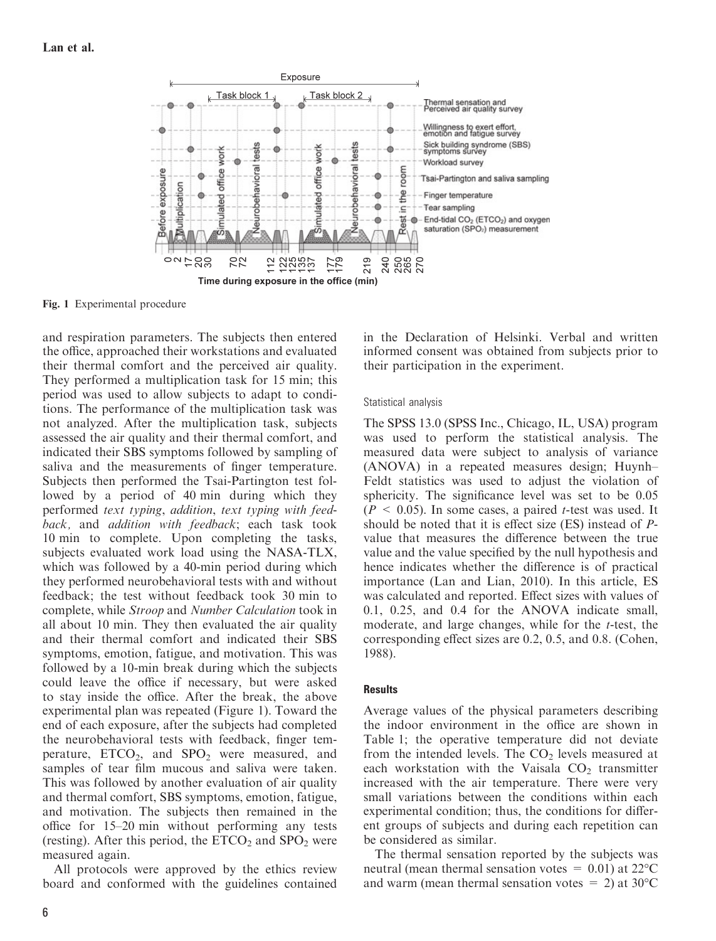

Fig. 1 Experimental procedure

and respiration parameters. The subjects then entered the office, approached their workstations and evaluated their thermal comfort and the perceived air quality. They performed a multiplication task for 15 min; this period was used to allow subjects to adapt to conditions. The performance of the multiplication task was not analyzed. After the multiplication task, subjects assessed the air quality and their thermal comfort, and indicated their SBS symptoms followed by sampling of saliva and the measurements of finger temperature. Subjects then performed the Tsai-Partington test followed by a period of 40 min during which they performed text typing, addition, text typing with feedback, and addition with feedback; each task took 10 min to complete. Upon completing the tasks, subjects evaluated work load using the NASA-TLX, which was followed by a 40-min period during which they performed neurobehavioral tests with and without feedback; the test without feedback took 30 min to complete, while Stroop and Number Calculation took in all about 10 min. They then evaluated the air quality and their thermal comfort and indicated their SBS symptoms, emotion, fatigue, and motivation. This was followed by a 10-min break during which the subjects could leave the office if necessary, but were asked to stay inside the office. After the break, the above experimental plan was repeated (Figure 1). Toward the end of each exposure, after the subjects had completed the neurobehavioral tests with feedback, finger temperature,  $ETCO<sub>2</sub>$ , and  $SPO<sub>2</sub>$  were measured, and samples of tear film mucous and saliva were taken. This was followed by another evaluation of air quality and thermal comfort, SBS symptoms, emotion, fatigue, and motivation. The subjects then remained in the office for 15–20 min without performing any tests (resting). After this period, the  $ETCO<sub>2</sub>$  and  $SPO<sub>2</sub>$  were measured again.

All protocols were approved by the ethics review board and conformed with the guidelines contained in the Declaration of Helsinki. Verbal and written informed consent was obtained from subjects prior to their participation in the experiment.

#### Statistical analysis

The SPSS 13.0 (SPSS Inc., Chicago, IL, USA) program was used to perform the statistical analysis. The measured data were subject to analysis of variance (ANOVA) in a repeated measures design; Huynh– Feldt statistics was used to adjust the violation of sphericity. The significance level was set to be 0.05  $(P \le 0.05)$ . In some cases, a paired *t*-test was used. It should be noted that it is effect size (ES) instead of Pvalue that measures the difference between the true value and the value specified by the null hypothesis and hence indicates whether the difference is of practical importance (Lan and Lian, 2010). In this article, ES was calculated and reported. Effect sizes with values of 0.1, 0.25, and 0.4 for the ANOVA indicate small, moderate, and large changes, while for the *t*-test, the corresponding effect sizes are 0.2, 0.5, and 0.8. (Cohen, 1988).

#### **Results**

Average values of the physical parameters describing the indoor environment in the office are shown in Table 1; the operative temperature did not deviate from the intended levels. The  $CO<sub>2</sub>$  levels measured at each workstation with the Vaisala  $CO<sub>2</sub>$  transmitter increased with the air temperature. There were very small variations between the conditions within each experimental condition; thus, the conditions for different groups of subjects and during each repetition can be considered as similar.

The thermal sensation reported by the subjects was neutral (mean thermal sensation votes  $= 0.01$ ) at 22 $\degree$ C and warm (mean thermal sensation votes  $= 2$ ) at 30°C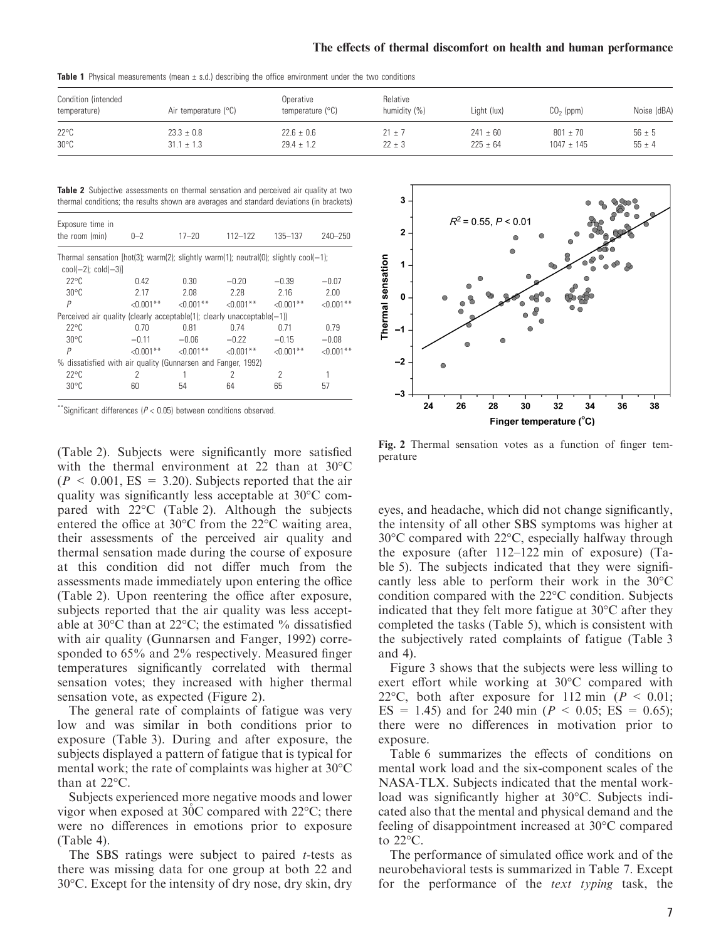| Condition (intended<br>temperature) | Air temperature (°C) | Operative<br>temperature $(^{\circ}C)$ | Relative<br>humidity (%) | Light (lux)  | $CO2$ (ppm)    | Noise (dBA) |
|-------------------------------------|----------------------|----------------------------------------|--------------------------|--------------|----------------|-------------|
| $22^{\circ}C$                       | $23.3 \pm 0.8$       | $22.6 \pm 0.6$                         | $21 \pm 7$               | $241 \pm 60$ | $801 \pm 70$   | $56 \pm 5$  |
| $30^{\circ}$ C                      | $31.1 \pm 1.3$       | $29.4 \pm 1.2$                         | $22 \pm 3$               | $225 \pm 64$ | $1047 \pm 145$ | $55 \pm 4$  |

Table 2 Subjective assessments on thermal sensation and perceived air quality at two thermal conditions; the results shown are averages and standard deviations (in brackets)

| Exposure time in<br>the room (min)                                                                                                  | $0 - 2$                       | 17–20        | $112 - 122$  | 135-137                  | $240 - 250$  |
|-------------------------------------------------------------------------------------------------------------------------------------|-------------------------------|--------------|--------------|--------------------------|--------------|
| Thermal sensation [hot(3); warm(2); slightly warm(1); neutral(0); slightly cool( $-1$ );<br>$\text{cool}(-2)$ ; $\text{cold}(-3)$ ] |                               |              |              |                          |              |
| $22^{\circ}$ C                                                                                                                      | 0.42                          | 0.30         | $-0.20$      | $-0.39$                  | $-0.07$      |
| $30^{\circ}$ C                                                                                                                      | 2.17                          | 2.08         | 2.28         | 2.16                     | 2.00         |
| $\overline{P}$                                                                                                                      | $< 0.001$ <sup>**</sup>       | $< 0.001$ ** | $< 0.001$ ** | $< 0.001$ **             | $< 0.001$ ** |
| Perceived air quality (clearly acceptable(1); clearly unacceptable(-1))                                                             |                               |              |              |                          |              |
| $22^{\circ}$ C                                                                                                                      | በ 7በ                          | 0.81         | n 74         | 0 71                     | 0.79         |
| $30^{\circ}$ C                                                                                                                      | $-0.11$                       | $-0.06$      | $-0.22$      | $-0.15$                  | $-0.08$      |
| $\overline{P}$                                                                                                                      | $<$ 0.001 $^{\ast}$ $^{\ast}$ | $< 0.001$ ** | $< 0.001$ ** | $< 0.001$ **             | $< 0.001$ ** |
| % dissatisfied with air quality (Gunnarsen and Fanger, 1992)                                                                        |                               |              |              |                          |              |
| $22^{\circ}$ C                                                                                                                      | 2                             |              | 2            | $\overline{\phantom{a}}$ |              |
| $30^{\circ}$ C                                                                                                                      | 60                            | 54           | 64           | 65                       | 57           |

\*\*Significant differences ( $P < 0.05$ ) between conditions observed.

(Table 2). Subjects were significantly more satisfied with the thermal environment at 22 than at  $30^{\circ}$ C  $(P < 0.001, ES = 3.20)$ . Subjects reported that the air quality was significantly less acceptable at 30°C compared with  $22^{\circ}$ C (Table 2). Although the subjects entered the office at  $30^{\circ}$ C from the  $22^{\circ}$ C waiting area, their assessments of the perceived air quality and thermal sensation made during the course of exposure at this condition did not differ much from the assessments made immediately upon entering the office (Table 2). Upon reentering the office after exposure, subjects reported that the air quality was less acceptable at 30 $\rm{^{\circ}C}$  than at 22 $\rm{^{\circ}C}$ ; the estimated  $\rm{\%}$  dissatisfied with air quality (Gunnarsen and Fanger, 1992) corresponded to 65% and 2% respectively. Measured finger temperatures significantly correlated with thermal sensation votes; they increased with higher thermal sensation vote, as expected (Figure 2).

The general rate of complaints of fatigue was very low and was similar in both conditions prior to exposure (Table 3). During and after exposure, the subjects displayed a pattern of fatigue that is typical for mental work; the rate of complaints was higher at  $30^{\circ}$ C than at  $22^{\circ}$ C.

Subjects experienced more negative moods and lower vigor when exposed at 30C compared with 22°C; there were no differences in emotions prior to exposure (Table 4).

The SBS ratings were subject to paired  $t$ -tests as there was missing data for one group at both 22 and 30-C. Except for the intensity of dry nose, dry skin, dry



eyes, and headache, which did not change significantly, the intensity of all other SBS symptoms was higher at  $30^{\circ}$ C compared with  $22^{\circ}$ C, especially halfway through the exposure (after 112–122 min of exposure) (Table 5). The subjects indicated that they were significantly less able to perform their work in the  $30^{\circ}$ C condition compared with the  $22^{\circ}$ C condition. Subjects indicated that they felt more fatigue at  $30^{\circ}$ C after they completed the tasks (Table 5), which is consistent with the subjectively rated complaints of fatigue (Table 3 and 4).

Figure 3 shows that the subjects were less willing to exert effort while working at  $30^{\circ}$ C compared with 22°C, both after exposure for 112 min ( $P < 0.01$ ; ES = 1.45) and for 240 min ( $P < 0.05$ ; ES = 0.65); there were no differences in motivation prior to exposure.

Table 6 summarizes the effects of conditions on mental work load and the six-component scales of the NASA-TLX. Subjects indicated that the mental workload was significantly higher at 30°C. Subjects indicated also that the mental and physical demand and the feeling of disappointment increased at 30°C compared to  $22^{\circ}$ C.

The performance of simulated office work and of the neurobehavioral tests is summarized in Table 7. Except for the performance of the text typing task, the

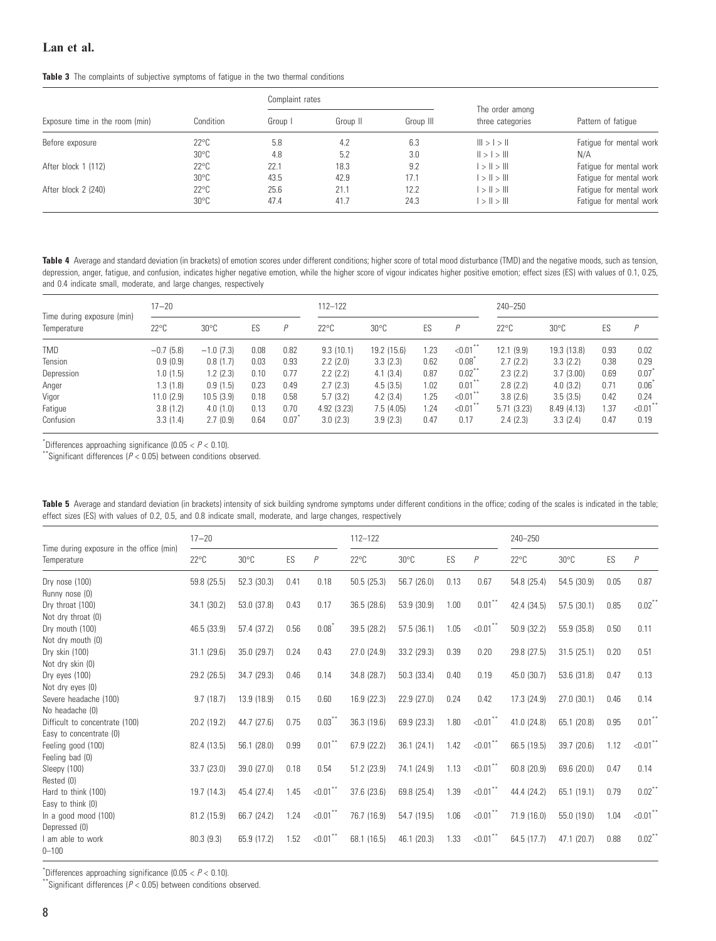## Lan et al.

Table 3 The complaints of subjective symptoms of fatigue in the two thermal conditions

|                                 |                | Complaint rates |          |           |                                           |                         |
|---------------------------------|----------------|-----------------|----------|-----------|-------------------------------------------|-------------------------|
| Exposure time in the room (min) | Condition      | Group I         | Group II | Group III | The order among<br>three categories       | Pattern of fatique      |
| Before exposure                 | $22^{\circ}$ C | 5.8             | 4.2      | 6.3       | $\  \cdot \  >   > \ $                    | Fatique for mental work |
|                                 | $30^{\circ}$ C | 4.8             | 5.2      | 3.0       | $  $ > $ $ > $  $                         | N/A                     |
| After block 1 (112)             | $22^{\circ}$ C | 22.1            | 18.3     | 9.2       | $\vert > \vert \vert > \vert \vert \vert$ | Fatique for mental work |
|                                 | $30^{\circ}$ C | 43.5            | 42.9     | 17.1      | $\vert > \vert \vert > \vert \vert \vert$ | Fatique for mental work |
| After block 2 (240)             | $22^{\circ}$ C | 25.6            | 21.1     | 12.2      | $\vert > \vert \vert > \vert \vert \vert$ | Fatique for mental work |
|                                 | $30^{\circ}$ C | 47.4            | 41.7     | 24.3      | $\vert > \vert \vert > \vert \vert \vert$ | Fatique for mental work |

Table 4 Average and standard deviation (in brackets) of emotion scores under different conditions; higher score of total mood disturbance (TMD) and the negative moods, such as tension, depression, anger, fatigue, and confusion, indicates higher negative emotion, while the higher score of vigour indicates higher positive emotion; effect sizes (ES) with values of 0.1, 0.25, and 0.4 indicate small, moderate, and large changes, respectively

|                                           | $17 - 20$<br>$112 - 122$ |                |      |      |                |                |      |                         | 240-250       |                |      |                  |  |  |  |  |
|-------------------------------------------|--------------------------|----------------|------|------|----------------|----------------|------|-------------------------|---------------|----------------|------|------------------|--|--|--|--|
| Time during exposure (min)<br>Temperature | $22^{\circ}$ C           | $30^{\circ}$ C | ES   | P    | $22^{\circ}$ C | $30^{\circ}$ C | ES   | $\overline{P}$          | $22^{\circ}C$ | $30^{\circ}$ C | ES   | P                |  |  |  |  |
| <b>TMD</b>                                | $-0.7(5.8)$              | $-1.0(7.3)$    | 0.08 | 0.82 | 9.3(10.1)      | 19.2 (15.6)    | 1.23 | ${<}0.01$ <sup>**</sup> | 12.1(9.9)     | 19.3 (13.8)    | 0.93 | 0.02             |  |  |  |  |
| Tension                                   | 0.9(0.9)                 | 0.8(1.7)       | 0.03 | 0.93 | 2.2(2.0)       | 3.3(2.3)       | 0.62 | 0.08                    | 2.7(2.2)      | 3.3(2.2)       | 0.38 | 0.29             |  |  |  |  |
| Depression                                | 1.0(1.5)                 | 1.2(2.3)       | 0.10 | 0.77 | 2.2(2.2)       | 4.1(3.4)       | 0.87 | $0.02$ **               | 2.3(2.2)      | 3.7(3.00)      | 0.69 | 0.07             |  |  |  |  |
| Anger                                     | 1.3(1.8)                 | 0.9(1.5)       | 0.23 | 0.49 | 2.7(2.3)       | 4.5(3.5)       | 1.02 | $0.01***$               | 2.8(2.2)      | 4.0(3.2)       | 0.71 | $0.06^{\degree}$ |  |  |  |  |
| Vigor                                     | 11.0(2.9)                | 10.5(3.9)      | 0.18 | 0.58 | 5.7(3.2)       | 4.2(3.4)       | 1.25 | ${<}0.01$ **            | 3.8(2.6)      | 3.5(3.5)       | 0.42 | 0.24             |  |  |  |  |
| Fatigue                                   | 3.8(1.2)                 | 4.0(1.0)       | 0.13 | 0.70 | 4.92(3.23)     | 7.5(4.05)      | 1.24 | ${<}0.01$ <sup>**</sup> | 5.71(3.23)    | 8.49(4.13)     | 1.37 | < 0.01           |  |  |  |  |
| Confusion                                 | 3.3(1.4)                 | 2.7(0.9)       | 0.64 | 0.07 | 3.0(2.3)       | 3.9(2.3)       | 0.47 | 0.17                    | 2.4(2.3)      | 3.3(2.4)       | 0.47 | 0.19             |  |  |  |  |

\*Differences approaching significance (0.05  $<$   $P$   $<$  0.10).

\*\*Significant differences ( $P < 0.05$ ) between conditions observed.

|                                                         | $17 - 20$      |                |      |                | $112 - 122$    |                |      | 240-250            |               |                |      |                |
|---------------------------------------------------------|----------------|----------------|------|----------------|----------------|----------------|------|--------------------|---------------|----------------|------|----------------|
| Time during exposure in the office (min)<br>Temperature | $22^{\circ}$ C | $30^{\circ}$ C | ES   | $\overline{P}$ | $22^{\circ}$ C | $30^{\circ}$ C | ES   | $\overline{P}$     | $22^{\circ}C$ | $30^{\circ}$ C | ES   | $\overline{P}$ |
| Dry nose (100)                                          | 59.8 (25.5)    | 52.3(30.3)     | 0.41 | 0.18           | 50.5(25.3)     | 56.7 (26.0)    | 0.13 | 0.67               | 54.8 (25.4)   | 54.5 (30.9)    | 0.05 | 0.87           |
| Runny nose (0)                                          |                |                |      |                |                |                |      |                    |               |                |      |                |
| Dry throat (100)                                        | 34.1 (30.2)    | 53.0 (37.8)    | 0.43 | 0.17           | 36.5(28.6)     | 53.9(30.9)     | 1.00 | $0.01***$          | 42.4 (34.5)   | 57.5(30.1)     | 0.85 | $0.02***$      |
| Not dry throat (0)                                      |                |                |      |                |                |                |      |                    |               |                |      |                |
| Dry mouth (100)                                         | 46.5 (33.9)    | 57.4 (37.2)    | 0.56 | $0.08^*$       | 39.5 (28.2)    | 57.5(36.1)     | 1.05 | $<0.01^{\ast\ast}$ | 50.9 (32.2)   | 55.9 (35.8)    | 0.50 | 0.11           |
| Not dry mouth (0)                                       |                |                |      |                |                |                |      |                    |               |                |      |                |
| Dry skin (100)                                          | 31.1(29.6)     | 35.0 (29.7)    | 0.24 | 0.43           | 27.0 (24.9)    | 33.2 (29.3)    | 0.39 | 0.20               | 29.8 (27.5)   | 31.5(25.1)     | 0.20 | 0.51           |
| Not dry skin (0)                                        |                |                |      |                |                |                |      |                    |               |                |      |                |
| Dry eyes (100)                                          | 29.2 (26.5)    | 34.7 (29.3)    | 0.46 | 0.14           | 34.8 (28.7)    | 50.3(33.4)     | 0.40 | 0.19               | 45.0 (30.7)   | 53.6 (31.8)    | 0.47 | 0.13           |
| Not dry eyes (0)                                        |                |                |      |                |                |                |      |                    |               |                |      |                |
| Severe headache (100)                                   | 9.7(18.7)      | 13.9 (18.9)    | 0.15 | 0.60           | 16.9 (22.3)    | 22.9(27.0)     | 0.24 | 0.42               | 17.3 (24.9)   | 27.0(30.1)     | 0.46 | 0.14           |
| No headache (0)                                         |                |                |      |                |                |                |      |                    |               |                |      |                |
| Difficult to concentrate (100)                          | 20.2 (19.2)    | 44.7 (27.6)    | 0.75 | $0.03$ **      | 36.3 (19.6)    | 69.9 (23.3)    | 1.80 | $< 0.01$ **        | 41.0 (24.8)   | 65.1 (20.8)    | 0.95 | $0.01***$      |
| Easy to concentrate (0)                                 |                |                |      |                |                |                |      |                    |               |                |      |                |
| Feeling good (100)                                      | 82.4 (13.5)    | 56.1(28.0)     | 0.99 | $0.01$ **      | 67.9 (22.2)    | 36.1(24.1)     | 1.42 | $< 0.01$ **        | 66.5 (19.5)   | 39.7 (20.6)    | 1.12 | $< 0.01$ **    |
| Feeling bad (0)                                         |                |                |      |                |                |                |      |                    |               |                |      |                |
| Sleepy (100)                                            | 33.7 (23.0)    | 39.0 (27.0)    | 0.18 | 0.54           | 51.2 (23.9)    | 74.1 (24.9)    | 1.13 | $< 0.01$ **        | 60.8 (20.9)   | 69.6 (20.0)    | 0.47 | 0.14           |
| Rested (0)                                              |                |                |      |                |                |                |      |                    |               |                |      |                |
| Hard to think (100)                                     | 19.7 (14.3)    | 45.4 (27.4)    | 1.45 | $< 0.01$ **    | 37.6 (23.6)    | 69.8 (25.4)    | 1.39 | $< 0.01$ **        | 44.4 (24.2)   | 65.1 (19.1)    | 0.79 | $0.02***$      |
| Easy to think (0)                                       |                |                |      |                |                |                |      |                    |               |                |      |                |
| In a good mood (100)                                    | 81.2 (15.9)    | 66.7 (24.2)    | 1.24 | $< 0.01$ **    | 76.7 (16.9)    | 54.7 (19.5)    | 1.06 | $< 0.01$ **        | 71.9 (16.0)   | 55.0 (19.0)    | 1.04 | $< 0.01$ **    |
| Depressed (0)                                           |                |                |      |                |                |                |      |                    |               |                |      |                |
| I am able to work                                       | 80.3 (9.3)     | 65.9 (17.2)    | 1.52 | < 0.01         | 68.1 (16.5)    | 46.1 (20.3)    | 1.33 | $< 0.01$ **        | 64.5 (17.7)   | 47.1(20.7)     | 0.88 | $0.02***$      |
| $0 - 100$                                               |                |                |      |                |                |                |      |                    |               |                |      |                |

Table 5 Average and standard deviation (in brackets) intensity of sick building syndrome symptoms under different conditions in the office; coding of the scales is indicated in the table; effect sizes (ES) with values of 0.2, 0.5, and 0.8 indicate small, moderate, and large changes, respectively

\*Differences approaching significance (0.05  $<$   $P$   $<$  0.10).

 $*$ Significant differences ( $P < 0.05$ ) between conditions observed.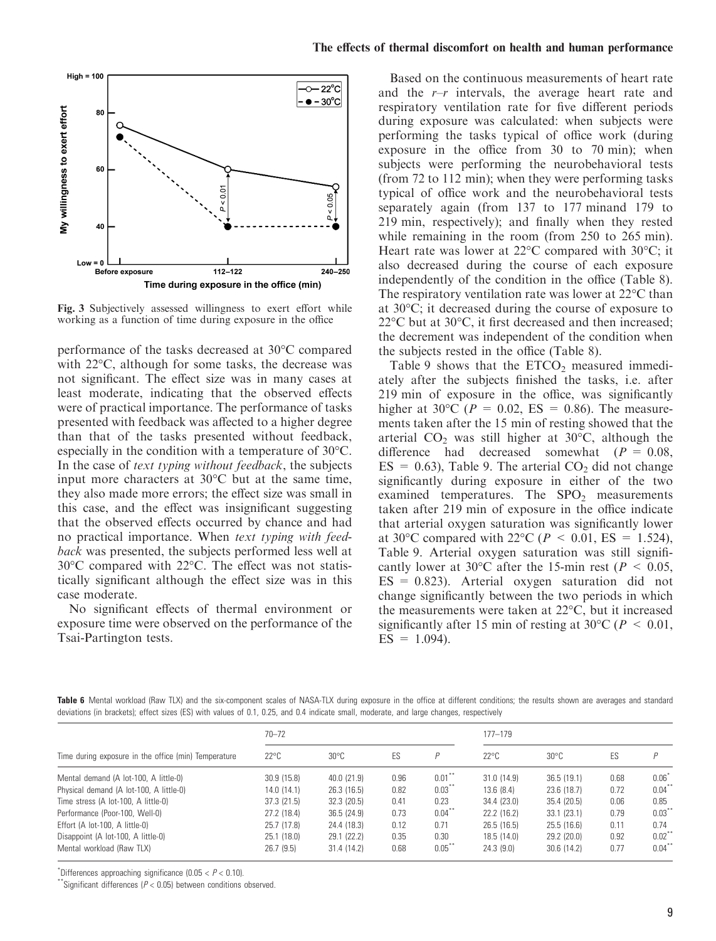### The effects of thermal discomfort on health and human performance



Fig. 3 Subjectively assessed willingness to exert effort while working as a function of time during exposure in the office

performance of the tasks decreased at 30°C compared with 22°C, although for some tasks, the decrease was not significant. The effect size was in many cases at least moderate, indicating that the observed effects were of practical importance. The performance of tasks presented with feedback was affected to a higher degree than that of the tasks presented without feedback, especially in the condition with a temperature of  $30^{\circ}$ C. In the case of text typing without feedback, the subjects input more characters at  $30^{\circ}$ C but at the same time, they also made more errors; the effect size was small in this case, and the effect was insignificant suggesting that the observed effects occurred by chance and had no practical importance. When text typing with feedback was presented, the subjects performed less well at  $30^{\circ}$ C compared with 22 $^{\circ}$ C. The effect was not statistically significant although the effect size was in this case moderate.

No significant effects of thermal environment or exposure time were observed on the performance of the Tsai-Partington tests.

Based on the continuous measurements of heart rate and the  $r-r$  intervals, the average heart rate and respiratory ventilation rate for five different periods during exposure was calculated: when subjects were performing the tasks typical of office work (during exposure in the office from 30 to 70 min); when subjects were performing the neurobehavioral tests (from 72 to 112 min); when they were performing tasks typical of office work and the neurobehavioral tests separately again (from 137 to 177 minand 179 to 219 min, respectively); and finally when they rested while remaining in the room (from 250 to 265 min). Heart rate was lower at  $22^{\circ}$ C compared with  $30^{\circ}$ C; it also decreased during the course of each exposure independently of the condition in the office (Table 8). The respiratory ventilation rate was lower at  $22^{\circ}$ C than at 30°C; it decreased during the course of exposure to  $22^{\circ}$ C but at 30 $^{\circ}$ C, it first decreased and then increased; the decrement was independent of the condition when the subjects rested in the office (Table 8).

Table 9 shows that the  $ETCO<sub>2</sub>$  measured immediately after the subjects finished the tasks, i.e. after 219 min of exposure in the office, was significantly higher at 30°C ( $P = 0.02$ , ES = 0.86). The measurements taken after the 15 min of resting showed that the arterial  $CO<sub>2</sub>$  was still higher at 30°C, although the difference had decreased somewhat  $(P = 0.08,$  $ES = 0.63$ ), Table 9. The arterial  $CO<sub>2</sub>$  did not change significantly during exposure in either of the two examined temperatures. The  $SPO<sub>2</sub>$  measurements taken after 219 min of exposure in the office indicate that arterial oxygen saturation was significantly lower at 30°C compared with 22°C ( $P < 0.01$ , ES = 1.524), Table 9. Arterial oxygen saturation was still significantly lower at 30°C after the 15-min rest ( $P < 0.05$ ,  $ES = 0.823$ . Arterial oxygen saturation did not change significantly between the two periods in which the measurements were taken at  $22^{\circ}$ C, but it increased significantly after 15 min of resting at 30°C ( $P < 0.01$ ,  $ES = 1.094$ .

Table 6 Mental workload (Raw TLX) and the six-component scales of NASA-TLX during exposure in the office at different conditions; the results shown are averages and standard deviations (in brackets); effect sizes (ES) with values of 0.1, 0.25, and 0.4 indicate small, moderate, and large changes, respectively

|                                                      | $70 - 72$     |                |      |                      |                | $177 - 179$    |      |           |  |
|------------------------------------------------------|---------------|----------------|------|----------------------|----------------|----------------|------|-----------|--|
| Time during exposure in the office (min) Temperature | $22^{\circ}C$ | $30^{\circ}$ C | ES   | P                    | $22^{\circ}$ C | $30^{\circ}$ C | ES   |           |  |
| Mental demand (A lot-100, A little-0)                | 30.9(15.8)    | 40.0(21.9)     | 0.96 | $0.01***$            | 31.0(14.9)     | 36.5(19.1)     | 0.68 | $0.06^*$  |  |
| Physical demand (A lot-100, A little-0)              | 14.0(14.1)    | 26.3(16.5)     | 0.82 | $0.03$ <sup>-</sup>  | 13.6(8.4)      | 23.6(18.7)     | 0.72 | $0.04$ ** |  |
| Time stress (A lot-100, A little-0)                  | 37.3(21.5)    | 32.3(20.5)     | 0.41 | 0.23                 | 34.4 (23.0)    | 35.4(20.5)     | 0.06 | 0.85      |  |
| Performance (Poor-100, Well-0)                       | 27.2(18.4)    | 36.5(24.9)     | 0.73 | $0.04$ <sup>**</sup> | 22.2(16.2)     | 33.1(23.1)     | 0.79 | $0.03$ ** |  |
| Effort (A lot-100, A little-0)                       | 25.7(17.8)    | 24.4 (18.3)    | 0.12 | 0.71                 | 26.5(16.5)     | 25.5(16.6)     | 0.11 | 0.74      |  |
| Disappoint (A lot-100, A little-0)                   | 25.1(18.0)    | 29.1 (22.2)    | 0.35 | 0.30                 | 18.5(14.0)     | 29.2(20.0)     | 0.92 | $0.02$ ** |  |
| Mental workload (Raw TLX)                            | 26.7(9.5)     | 31.4 (14.2)    | 0.68 | $0.05***$            | 24.3(9.0)      | 30.6(14.2)     | 0.77 | $0.04$ ** |  |

\*Differences approaching significance (0.05  $<$   $P$   $<$  0.10).

\*Significant differences ( $P < 0.05$ ) between conditions observed.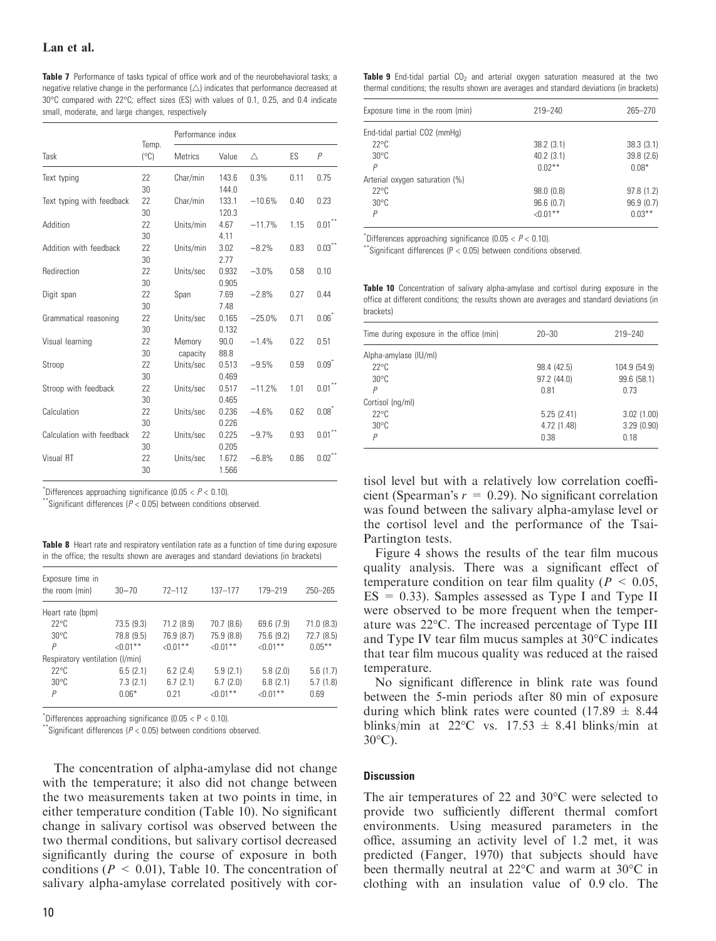Table 7 Performance of tasks typical of office work and of the neurobehavioral tasks; a negative relative change in the performance  $(\triangle)$  indicates that performance decreased at 30-C compared with 22-C; effect sizes (ES) with values of 0.1, 0.25, and 0.4 indicate small, moderate, and large changes, respectively

|                           |                        | Performance index  |                |          |      |                      |
|---------------------------|------------------------|--------------------|----------------|----------|------|----------------------|
| Task                      | Temp.<br>$(^{\circ}C)$ | <b>Metrics</b>     | Value          | л        | ES   | $\overline{P}$       |
| Text typing               | 22<br>30               | Char/min           | 143.6<br>144.0 | 0.3%     | 0.11 | 0.75                 |
| Text typing with feedback | 22<br>30               | Char/min           | 133.1<br>120.3 | $-10.6%$ | 0.40 | 0.23                 |
| Addition                  | 22<br>30               | Units/min          | 4.67<br>4.11   | $-11.7%$ | 1.15 | $0.01***$            |
| Addition with feedback    | 22<br>30               | Units/min          | 3.02<br>2.77   | $-8.2%$  | 0.83 | $0.03$ **            |
| Redirection               | 22<br>30               | Units/sec          | 0.932<br>0.905 | $-3.0%$  | 0.58 | 0.10                 |
| Digit span                | 22<br>30               | Span               | 7.69<br>7.48   | $-2.8%$  | 0.27 | 0.44                 |
| Grammatical reasoning     | 22<br>30               | Units/sec          | 0.165<br>0.132 | $-25.0%$ | 0.71 | $0.06^*$             |
| Visual learning           | 22<br>30               | Memory<br>capacity | 90.0<br>88.8   | $-1.4%$  | 0.22 | 0.51                 |
| Stroop                    | 22<br>30               | Units/sec          | 0.513<br>0.469 | $-9.5%$  | 0.59 | $0.09^*$             |
| Stroop with feedback      | 22<br>30               | Units/sec          | 0.517<br>0.465 | $-11.2%$ | 1.01 | $0.01$ **            |
| Calculation               | 22<br>30               | Units/sec          | 0.236<br>0.226 | $-4.6%$  | 0.62 | $0.08^*$             |
| Calculation with feedback | 22<br>30               | Units/sec          | 0.225<br>0.205 | $-9.7%$  | 0.93 | $0.01$ <sup>**</sup> |
| Visual RT                 | 22<br>30               | Units/sec          | 1.672<br>1.566 | $-6.8%$  | 0.86 | $0.02^*$             |

\*Differences approaching significance (0.05  $<$   $P$   $<$  0.10).

\*Significant differences ( $P < 0.05$ ) between conditions observed.

Table 8 Heart rate and respiratory ventilation rate as a function of time during exposure in the office; the results shown are averages and standard deviations (in brackets)

| Exposure time in<br>the room (min) | $30 - 70$   | $72 - 112$  | 137-177     | 179-219     | 250-265    |
|------------------------------------|-------------|-------------|-------------|-------------|------------|
| Heart rate (bpm)                   |             |             |             |             |            |
| $22^{\circ}$ C                     | 73.5 (9.3)  | 71.2 (8.9)  | 70.7 (8.6)  | 69.6 (7.9)  | 71.0(8.3)  |
| $30^{\circ}$ C                     | 78.8 (9.5)  | 76.9 (8.7)  | 75.9 (8.8)  | 75.6 (9.2)  | 72.7 (8.5) |
| P                                  | $< 0.01$ ** | $< 0.01$ ** | $< 0.01$ ** | $< 0.01$ ** | $0.05***$  |
| Respiratory ventilation (I/min)    |             |             |             |             |            |
| $22^{\circ}$ C                     | 6.5(2.1)    | 6.2(2.4)    | 5.9(2.1)    | 5.8(2.0)    | 5.6(1.7)   |
| $30^{\circ}$ C                     | 7.3(2.1)    | 6.7(2.1)    | 6.7(2.0)    | 6.8(2.1)    | 5.7(1.8)   |
| Ρ                                  | $0.06*$     | 0.21        | $< 0.01$ ** | $< 0.01$ ** | 0.69       |

 $*$ Differences approaching significance (0.05 < P < 0.10).

\*Significant differences ( $P < 0.05$ ) between conditions observed.

The concentration of alpha-amylase did not change with the temperature; it also did not change between the two measurements taken at two points in time, in either temperature condition (Table 10). No significant change in salivary cortisol was observed between the two thermal conditions, but salivary cortisol decreased significantly during the course of exposure in both conditions ( $P \leq 0.01$ ), Table 10. The concentration of salivary alpha-amylase correlated positively with cor-

Table 9 End-tidal partial  $CO<sub>2</sub>$  and arterial oxygen saturation measured at the two thermal conditions; the results shown are averages and standard deviations (in brackets)

| Exposure time in the room (min) | $219 - 240$ | 265-270   |
|---------------------------------|-------------|-----------|
| End-tidal partial CO2 (mmHq)    |             |           |
| $22^{\circ}$ C                  | 38.2(3.1)   | 38.3(3.1) |
| $30^{\circ}$ C                  | 40.2(3.1)   | 39.8(2.6) |
| P                               | $0.02**$    | $0.08*$   |
| Arterial oxygen saturation (%)  |             |           |
| $22^{\circ}$ C                  | 98.0(0.8)   | 97.8(1.2) |
| $30^{\circ}$ C                  | 96.6(0.7)   | 96.9(0.7) |
| P                               | $< 0.01$ ** | $0.03***$ |

\*Differences approaching significance (0.05  $<$   $P$   $<$  0.10).

 $*$ Significant differences (P < 0.05) between conditions observed.

Table 10 Concentration of salivary alpha-amylase and cortisol during exposure in the office at different conditions; the results shown are averages and standard deviations (in brackets)

| Time during exposure in the office (min) | $20 - 30$   | 219-240      |
|------------------------------------------|-------------|--------------|
| Alpha-amylase (IU/ml)                    |             |              |
| $22^{\circ}$ C                           | 98.4 (42.5) | 104.9 (54.9) |
| $30^{\circ}$ C                           | 97.2 (44.0) | 99.6 (58.1)  |
| P                                        | 0.81        | 0.73         |
| Cortisol (ng/ml)                         |             |              |
| $22^{\circ}$ C                           | 5.25(2.41)  | 3.02(1.00)   |
| $30^{\circ}$ C                           | 4.72 (1.48) | 3.29(0.90)   |
| P                                        | 0.38        | 0.18         |

tisol level but with a relatively low correlation coefficient (Spearman's  $r = 0.29$ ). No significant correlation was found between the salivary alpha-amylase level or the cortisol level and the performance of the Tsai-Partington tests.

Figure 4 shows the results of the tear film mucous quality analysis. There was a significant effect of temperature condition on tear film quality ( $P < 0.05$ ,  $ES = 0.33$ ). Samples assessed as Type I and Type II were observed to be more frequent when the temperature was 22°C. The increased percentage of Type III and Type IV tear film mucus samples at  $30^{\circ}$ C indicates that tear film mucous quality was reduced at the raised temperature.

No significant difference in blink rate was found between the 5-min periods after 80 min of exposure during which blink rates were counted  $(17.89 \pm 8.44)$ blinks/min at 22°C vs.  $17.53 \pm 8.41$  blinks/min at 30°C).

#### **Discussion**

The air temperatures of 22 and  $30^{\circ}$ C were selected to provide two sufficiently different thermal comfort environments. Using measured parameters in the office, assuming an activity level of 1.2 met, it was predicted (Fanger, 1970) that subjects should have been thermally neutral at  $22^{\circ}$ C and warm at  $30^{\circ}$ C in clothing with an insulation value of 0.9 clo. The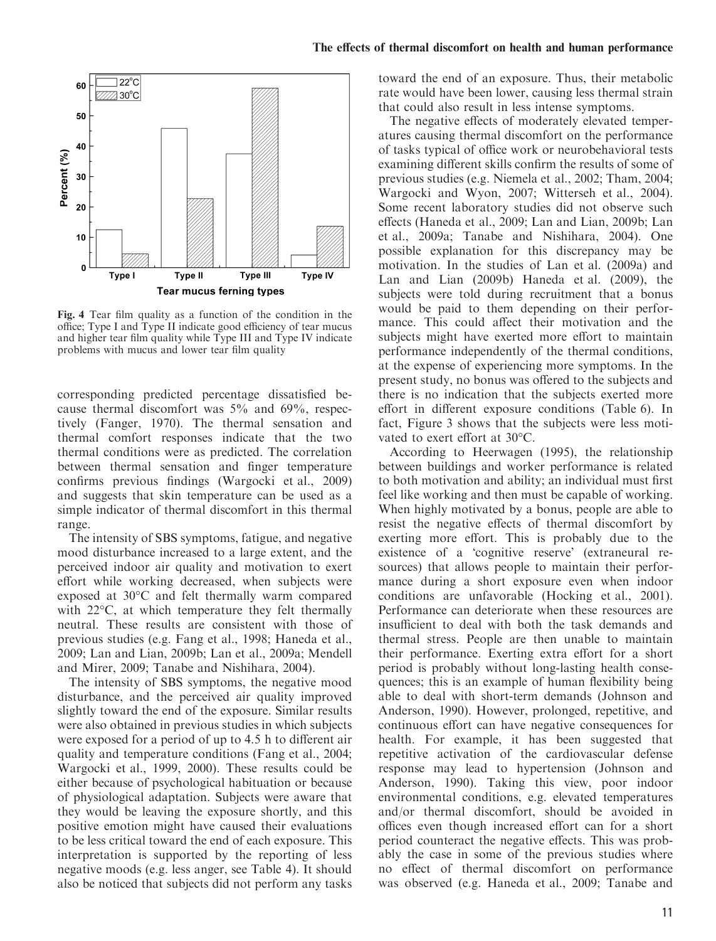

Fig. 4 Tear film quality as a function of the condition in the office; Type I and Type II indicate good efficiency of tear mucus and higher tear film quality while Type III and Type IV indicate problems with mucus and lower tear film quality

corresponding predicted percentage dissatisfied because thermal discomfort was 5% and 69%, respectively (Fanger, 1970). The thermal sensation and thermal comfort responses indicate that the two thermal conditions were as predicted. The correlation between thermal sensation and finger temperature confirms previous findings (Wargocki et al., 2009) and suggests that skin temperature can be used as a simple indicator of thermal discomfort in this thermal range.

The intensity of SBS symptoms, fatigue, and negative mood disturbance increased to a large extent, and the perceived indoor air quality and motivation to exert effort while working decreased, when subjects were exposed at 30°C and felt thermally warm compared with 22°C, at which temperature they felt thermally neutral. These results are consistent with those of previous studies (e.g. Fang et al., 1998; Haneda et al., 2009; Lan and Lian, 2009b; Lan et al., 2009a; Mendell and Mirer, 2009; Tanabe and Nishihara, 2004).

The intensity of SBS symptoms, the negative mood disturbance, and the perceived air quality improved slightly toward the end of the exposure. Similar results were also obtained in previous studies in which subjects were exposed for a period of up to 4.5 h to different air quality and temperature conditions (Fang et al., 2004; Wargocki et al., 1999, 2000). These results could be either because of psychological habituation or because of physiological adaptation. Subjects were aware that they would be leaving the exposure shortly, and this positive emotion might have caused their evaluations to be less critical toward the end of each exposure. This interpretation is supported by the reporting of less negative moods (e.g. less anger, see Table 4). It should also be noticed that subjects did not perform any tasks toward the end of an exposure. Thus, their metabolic rate would have been lower, causing less thermal strain that could also result in less intense symptoms.

The negative effects of moderately elevated temperatures causing thermal discomfort on the performance of tasks typical of office work or neurobehavioral tests examining different skills confirm the results of some of previous studies (e.g. Niemela et al., 2002; Tham, 2004; Wargocki and Wyon, 2007; Witterseh et al., 2004). Some recent laboratory studies did not observe such effects (Haneda et al., 2009; Lan and Lian, 2009b; Lan et al., 2009a; Tanabe and Nishihara, 2004). One possible explanation for this discrepancy may be motivation. In the studies of Lan et al. (2009a) and Lan and Lian (2009b) Haneda et al. (2009), the subjects were told during recruitment that a bonus would be paid to them depending on their performance. This could affect their motivation and the subjects might have exerted more effort to maintain performance independently of the thermal conditions, at the expense of experiencing more symptoms. In the present study, no bonus was offered to the subjects and there is no indication that the subjects exerted more effort in different exposure conditions (Table 6). In fact, Figure 3 shows that the subjects were less motivated to exert effort at  $30^{\circ}$ C.

According to Heerwagen (1995), the relationship between buildings and worker performance is related to both motivation and ability; an individual must first feel like working and then must be capable of working. When highly motivated by a bonus, people are able to resist the negative effects of thermal discomfort by exerting more effort. This is probably due to the existence of a 'cognitive reserve' (extraneural resources) that allows people to maintain their performance during a short exposure even when indoor conditions are unfavorable (Hocking et al., 2001). Performance can deteriorate when these resources are insufficient to deal with both the task demands and thermal stress. People are then unable to maintain their performance. Exerting extra effort for a short period is probably without long-lasting health consequences; this is an example of human flexibility being able to deal with short-term demands (Johnson and Anderson, 1990). However, prolonged, repetitive, and continuous effort can have negative consequences for health. For example, it has been suggested that repetitive activation of the cardiovascular defense response may lead to hypertension (Johnson and Anderson, 1990). Taking this view, poor indoor environmental conditions, e.g. elevated temperatures and/or thermal discomfort, should be avoided in offices even though increased effort can for a short period counteract the negative effects. This was probably the case in some of the previous studies where no effect of thermal discomfort on performance was observed (e.g. Haneda et al., 2009; Tanabe and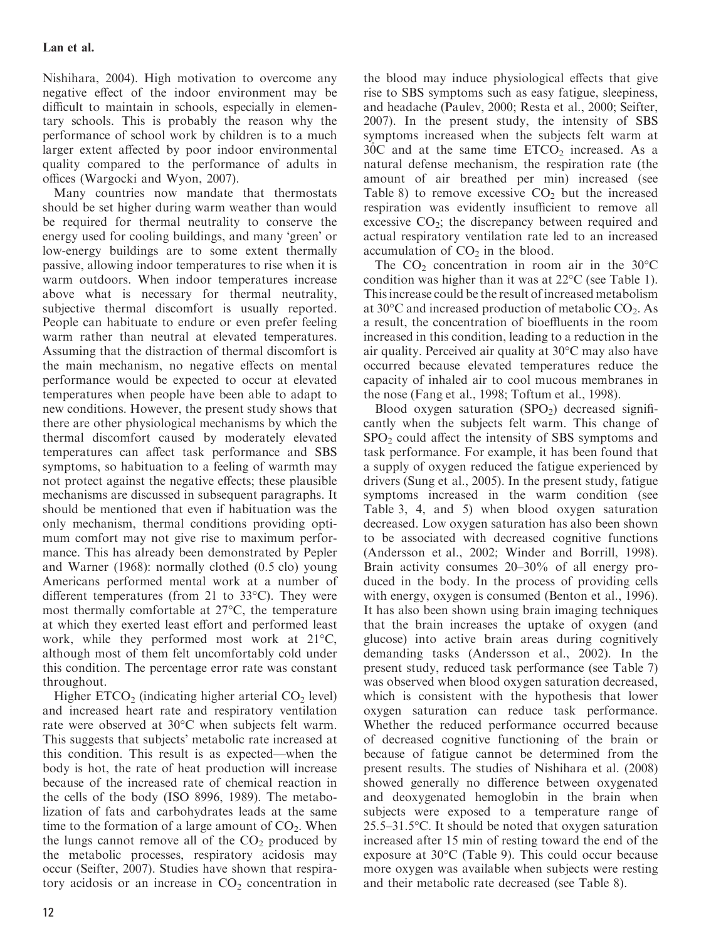Nishihara, 2004). High motivation to overcome any negative effect of the indoor environment may be difficult to maintain in schools, especially in elementary schools. This is probably the reason why the performance of school work by children is to a much larger extent affected by poor indoor environmental quality compared to the performance of adults in offices (Wargocki and Wyon, 2007).

Many countries now mandate that thermostats should be set higher during warm weather than would be required for thermal neutrality to conserve the energy used for cooling buildings, and many 'green' or low-energy buildings are to some extent thermally passive, allowing indoor temperatures to rise when it is warm outdoors. When indoor temperatures increase above what is necessary for thermal neutrality, subjective thermal discomfort is usually reported. People can habituate to endure or even prefer feeling warm rather than neutral at elevated temperatures. Assuming that the distraction of thermal discomfort is the main mechanism, no negative effects on mental performance would be expected to occur at elevated temperatures when people have been able to adapt to new conditions. However, the present study shows that there are other physiological mechanisms by which the thermal discomfort caused by moderately elevated temperatures can affect task performance and SBS symptoms, so habituation to a feeling of warmth may not protect against the negative effects; these plausible mechanisms are discussed in subsequent paragraphs. It should be mentioned that even if habituation was the only mechanism, thermal conditions providing optimum comfort may not give rise to maximum performance. This has already been demonstrated by Pepler and Warner (1968): normally clothed (0.5 clo) young Americans performed mental work at a number of different temperatures (from 21 to  $33^{\circ}$ C). They were most thermally comfortable at 27°C, the temperature at which they exerted least effort and performed least work, while they performed most work at  $21^{\circ}$ C, although most of them felt uncomfortably cold under this condition. The percentage error rate was constant throughout.

Higher ETCO<sub>2</sub> (indicating higher arterial  $CO<sub>2</sub>$  level) and increased heart rate and respiratory ventilation rate were observed at 30°C when subjects felt warm. This suggests that subjects' metabolic rate increased at this condition. This result is as expected—when the body is hot, the rate of heat production will increase because of the increased rate of chemical reaction in the cells of the body (ISO 8996, 1989). The metabolization of fats and carbohydrates leads at the same time to the formation of a large amount of  $CO<sub>2</sub>$ . When the lungs cannot remove all of the  $CO<sub>2</sub>$  produced by the metabolic processes, respiratory acidosis may occur (Seifter, 2007). Studies have shown that respiratory acidosis or an increase in  $CO<sub>2</sub>$  concentration in

12

the blood may induce physiological effects that give rise to SBS symptoms such as easy fatigue, sleepiness, and headache (Paulev, 2000; Resta et al., 2000; Seifter, 2007). In the present study, the intensity of SBS symptoms increased when the subjects felt warm at  $30C$  and at the same time  $ETCO<sub>2</sub>$  increased. As a natural defense mechanism, the respiration rate (the amount of air breathed per min) increased (see Table 8) to remove excessive  $CO<sub>2</sub>$  but the increased respiration was evidently insufficient to remove all excessive  $CO<sub>2</sub>$ ; the discrepancy between required and actual respiratory ventilation rate led to an increased accumulation of  $CO<sub>2</sub>$  in the blood.

The  $CO_2$  concentration in room air in the 30°C condition was higher than it was at  $22^{\circ}$ C (see Table 1). This increase could be the result of increased metabolism at  $30^{\circ}$ C and increased production of metabolic CO<sub>2</sub>. As a result, the concentration of bioeffluents in the room increased in this condition, leading to a reduction in the air quality. Perceived air quality at  $30^{\circ}$ C may also have occurred because elevated temperatures reduce the capacity of inhaled air to cool mucous membranes in the nose (Fang et al., 1998; Toftum et al., 1998).

Blood oxygen saturation  $(SPO<sub>2</sub>)$  decreased significantly when the subjects felt warm. This change of  $SPO<sub>2</sub>$  could affect the intensity of SBS symptoms and task performance. For example, it has been found that a supply of oxygen reduced the fatigue experienced by drivers (Sung et al., 2005). In the present study, fatigue symptoms increased in the warm condition (see Table 3, 4, and 5) when blood oxygen saturation decreased. Low oxygen saturation has also been shown to be associated with decreased cognitive functions (Andersson et al., 2002; Winder and Borrill, 1998). Brain activity consumes 20–30% of all energy produced in the body. In the process of providing cells with energy, oxygen is consumed (Benton et al., 1996). It has also been shown using brain imaging techniques that the brain increases the uptake of oxygen (and glucose) into active brain areas during cognitively demanding tasks (Andersson et al., 2002). In the present study, reduced task performance (see Table 7) was observed when blood oxygen saturation decreased, which is consistent with the hypothesis that lower oxygen saturation can reduce task performance. Whether the reduced performance occurred because of decreased cognitive functioning of the brain or because of fatigue cannot be determined from the present results. The studies of Nishihara et al. (2008) showed generally no difference between oxygenated and deoxygenated hemoglobin in the brain when subjects were exposed to a temperature range of 25.5–31.5-C. It should be noted that oxygen saturation increased after 15 min of resting toward the end of the exposure at  $30^{\circ}$ C (Table 9). This could occur because more oxygen was available when subjects were resting and their metabolic rate decreased (see Table 8).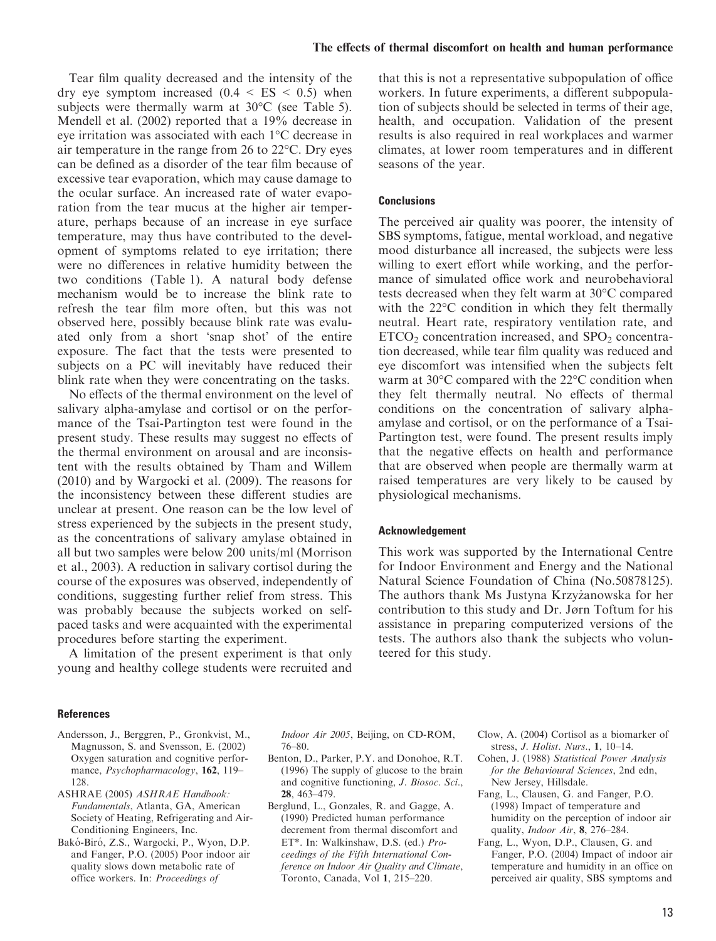Tear film quality decreased and the intensity of the dry eye symptom increased  $(0.4 \leq ES \leq 0.5)$  when subjects were thermally warm at  $30^{\circ}$ C (see Table 5). Mendell et al. (2002) reported that a 19% decrease in eye irritation was associated with each 1°C decrease in air temperature in the range from 26 to 22°C. Dry eyes can be defined as a disorder of the tear film because of excessive tear evaporation, which may cause damage to the ocular surface. An increased rate of water evaporation from the tear mucus at the higher air temperature, perhaps because of an increase in eye surface temperature, may thus have contributed to the development of symptoms related to eye irritation; there were no differences in relative humidity between the two conditions (Table 1). A natural body defense mechanism would be to increase the blink rate to refresh the tear film more often, but this was not observed here, possibly because blink rate was evaluated only from a short 'snap shot' of the entire exposure. The fact that the tests were presented to subjects on a PC will inevitably have reduced their blink rate when they were concentrating on the tasks.

No effects of the thermal environment on the level of salivary alpha-amylase and cortisol or on the performance of the Tsai-Partington test were found in the present study. These results may suggest no effects of the thermal environment on arousal and are inconsistent with the results obtained by Tham and Willem (2010) and by Wargocki et al. (2009). The reasons for the inconsistency between these different studies are unclear at present. One reason can be the low level of stress experienced by the subjects in the present study, as the concentrations of salivary amylase obtained in all but two samples were below 200 units/ml (Morrison et al., 2003). A reduction in salivary cortisol during the course of the exposures was observed, independently of conditions, suggesting further relief from stress. This was probably because the subjects worked on selfpaced tasks and were acquainted with the experimental procedures before starting the experiment.

A limitation of the present experiment is that only young and healthy college students were recruited and

that this is not a representative subpopulation of office workers. In future experiments, a different subpopulation of subjects should be selected in terms of their age, health, and occupation. Validation of the present results is also required in real workplaces and warmer climates, at lower room temperatures and in different seasons of the year.

### Conclusions

The perceived air quality was poorer, the intensity of SBS symptoms, fatigue, mental workload, and negative mood disturbance all increased, the subjects were less willing to exert effort while working, and the performance of simulated office work and neurobehavioral tests decreased when they felt warm at  $30^{\circ}$ C compared with the  $22^{\circ}$ C condition in which they felt thermally neutral. Heart rate, respiratory ventilation rate, and  $ETCO<sub>2</sub> concentration increased, and  $SPO<sub>2</sub>$  concentration$ tion decreased, while tear film quality was reduced and eye discomfort was intensified when the subjects felt warm at  $30^{\circ}$ C compared with the  $22^{\circ}$ C condition when they felt thermally neutral. No effects of thermal conditions on the concentration of salivary alphaamylase and cortisol, or on the performance of a Tsai-Partington test, were found. The present results imply that the negative effects on health and performance that are observed when people are thermally warm at raised temperatures are very likely to be caused by physiological mechanisms.

## Acknowledgement

This work was supported by the International Centre for Indoor Environment and Energy and the National Natural Science Foundation of China (No.50878125). The authors thank Ms Justyna Krzyzanowska for her \_ contribution to this study and Dr. Jørn Toftum for his assistance in preparing computerized versions of the tests. The authors also thank the subjects who volunteered for this study.

### References

- Andersson, J., Berggren, P., Gronkvist, M., Magnusson, S. and Svensson, E. (2002) Oxygen saturation and cognitive performance, Psychopharmacology, 162, 119-128.
- ASHRAE (2005) ASHRAE Handbook: Fundamentals, Atlanta, GA, American Society of Heating, Refrigerating and Air-Conditioning Engineers, Inc.
- Bakó-Biró, Z.S., Wargocki, P., Wyon, D.P. and Fanger, P.O. (2005) Poor indoor air quality slows down metabolic rate of office workers. In: Proceedings of

Indoor Air 2005, Beijing, on CD-ROM, 76–80.

- Benton, D., Parker, P.Y. and Donohoe, R.T. (1996) The supply of glucose to the brain and cognitive functioning, J. Biosoc. Sci., 28, 463–479.
- Berglund, L., Gonzales, R. and Gagge, A. (1990) Predicted human performance decrement from thermal discomfort and ET\*. In: Walkinshaw, D.S. (ed.) Proceedings of the Fifth International Conference on Indoor Air Quality and Climate, Toronto, Canada, Vol 1, 215–220.
- Clow, A. (2004) Cortisol as a biomarker of stress, J. Holist. Nurs., 1, 10–14.
- Cohen, J. (1988) Statistical Power Analysis for the Behavioural Sciences, 2nd edn, New Jersey, Hillsdale.
- Fang, L., Clausen, G. and Fanger, P.O. (1998) Impact of temperature and humidity on the perception of indoor air quality, Indoor Air, 8, 276–284.
- Fang, L., Wyon, D.P., Clausen, G. and Fanger, P.O. (2004) Impact of indoor air temperature and humidity in an office on perceived air quality, SBS symptoms and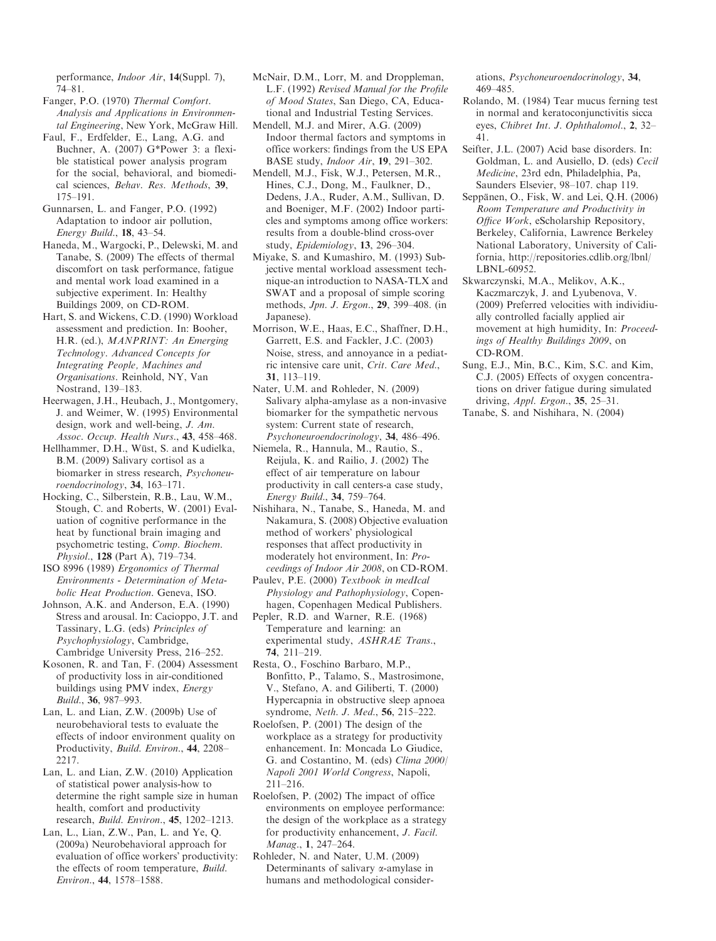performance, Indoor Air, 14(Suppl. 7), 74–81.

- Fanger, P.O. (1970) Thermal Comfort. Analysis and Applications in Environmental Engineering, New York, McGraw Hill.
- Faul, F., Erdfelder, E., Lang, A.G. and Buchner, A. (2007) G\*Power 3: a flexible statistical power analysis program for the social, behavioral, and biomedical sciences, Behav. Res. Methods, 39, 175–191.
- Gunnarsen, L. and Fanger, P.O. (1992) Adaptation to indoor air pollution, Energy Build., 18, 43–54.
- Haneda, M., Wargocki, P., Delewski, M. and Tanabe, S. (2009) The effects of thermal discomfort on task performance, fatigue and mental work load examined in a subjective experiment. In: Healthy Buildings 2009, on CD-ROM.
- Hart, S. and Wickens, C.D. (1990) Workload assessment and prediction. In: Booher, H.R. (ed.), MANPRINT: An Emerging Technology. Advanced Concepts for Integrating People, Machines and Organisations. Reinhold, NY, Van Nostrand, 139–183.
- Heerwagen, J.H., Heubach, J., Montgomery, J. and Weimer, W. (1995) Environmental design, work and well-being, J. Am. Assoc. Occup. Health Nurs., 43, 458–468.
- Hellhammer, D.H., Wüst, S. and Kudielka, B.M. (2009) Salivary cortisol as a biomarker in stress research, Psychoneuroendocrinology, 34, 163–171.
- Hocking, C., Silberstein, R.B., Lau, W.M., Stough, C. and Roberts, W. (2001) Evaluation of cognitive performance in the heat by functional brain imaging and psychometric testing, Comp. Biochem. Physiol., 128 (Part A), 719–734.
- ISO 8996 (1989) Ergonomics of Thermal Environments - Determination of Metabolic Heat Production. Geneva, ISO.
- Johnson, A.K. and Anderson, E.A. (1990) Stress and arousal. In: Cacioppo, J.T. and Tassinary, L.G. (eds) Principles of Psychophysiology, Cambridge, Cambridge University Press, 216–252.
- Kosonen, R. and Tan, F. (2004) Assessment of productivity loss in air-conditioned buildings using PMV index, Energy Build., 36, 987–993.
- Lan, L. and Lian, Z.W. (2009b) Use of neurobehavioral tests to evaluate the effects of indoor environment quality on Productivity, Build. Environ., 44, 2208– 2217.
- Lan, L. and Lian, Z.W. (2010) Application of statistical power analysis-how to determine the right sample size in human health, comfort and productivity research, Build. Environ., 45, 1202–1213.
- Lan, L., Lian, Z.W., Pan, L. and Ye, Q. (2009a) Neurobehavioral approach for evaluation of office workers' productivity: the effects of room temperature, Build. Environ., 44, 1578–1588.
- McNair, D.M., Lorr, M. and Droppleman, L.F. (1992) Revised Manual for the Profile of Mood States, San Diego, CA, Educational and Industrial Testing Services.
- Mendell, M.J. and Mirer, A.G. (2009) Indoor thermal factors and symptoms in office workers: findings from the US EPA BASE study, Indoor Air, 19, 291–302.
- Mendell, M.J., Fisk, W.J., Petersen, M.R., Hines, C.J., Dong, M., Faulkner, D., Dedens, J.A., Ruder, A.M., Sullivan, D. and Boeniger, M.F. (2002) Indoor particles and symptoms among office workers: results from a double-blind cross-over study, Epidemiology, 13, 296–304.
- Miyake, S. and Kumashiro, M. (1993) Subjective mental workload assessment technique-an introduction to NASA-TLX and SWAT and a proposal of simple scoring methods, Jpn. J. Ergon., 29, 399–408. (in Japanese).
- Morrison, W.E., Haas, E.C., Shaffner, D.H., Garrett, E.S. and Fackler, J.C. (2003) Noise, stress, and annoyance in a pediatric intensive care unit, Crit. Care Med., 31, 113–119.
- Nater, U.M. and Rohleder, N. (2009) Salivary alpha-amylase as a non-invasive biomarker for the sympathetic nervous system: Current state of research, Psychoneuroendocrinology, 34, 486–496.
- Niemela, R., Hannula, M., Rautio, S., Reijula, K. and Railio, J. (2002) The effect of air temperature on labour productivity in call centers-a case study, Energy Build., 34, 759–764.
- Nishihara, N., Tanabe, S., Haneda, M. and Nakamura, S. (2008) Objective evaluation method of workers' physiological responses that affect productivity in moderately hot environment, In: Proceedings of Indoor Air 2008, on CD-ROM.
- Paulev, P.E. (2000) Textbook in medIcal Physiology and Pathophysiology, Copenhagen, Copenhagen Medical Publishers.
- Pepler, R.D. and Warner, R.E. (1968) Temperature and learning: an experimental study, ASHRAE Trans., 74, 211–219.
- Resta, O., Foschino Barbaro, M.P., Bonfitto, P., Talamo, S., Mastrosimone, V., Stefano, A. and Giliberti, T. (2000) Hypercapnia in obstructive sleep apnoea syndrome, Neth. J. Med., 56, 215–222.
- Roelofsen, P. (2001) The design of the workplace as a strategy for productivity enhancement. In: Moncada Lo Giudice, G. and Costantino, M. (eds) Clima 2000/ Napoli 2001 World Congress, Napoli, 211–216.
- Roelofsen, P. (2002) The impact of office environments on employee performance: the design of the workplace as a strategy for productivity enhancement, J. Facil. Manag., 1, 247–264.
- Rohleder, N. and Nater, U.M. (2009) Determinants of salivary a-amylase in humans and methodological consider-

ations, Psychoneuroendocrinology, 34, 469–485.

- Rolando, M. (1984) Tear mucus ferning test in normal and keratoconjunctivitis sicca eyes, Chibret Int. J. Ophthalomol., 2, 32– 41.
- Seifter, J.L. (2007) Acid base disorders. In: Goldman, L. and Ausiello, D. (eds) Cecil Medicine, 23rd edn, Philadelphia, Pa, Saunders Elsevier, 98–107. chap 119.
- Seppanen, O., Fisk, W. and Lei, Q.H. (2006) Room Temperature and Productivity in Office Work, eScholarship Repository, Berkeley, California, Lawrence Berkeley National Laboratory, University of California, http://repositories.cdlib.org/lbnl/ LBNL-60952.
- Skwarczynski, M.A., Melikov, A.K., Kaczmarczyk, J. and Lyubenova, V. (2009) Preferred velocities with individiually controlled facially applied air movement at high humidity, In: Proceedings of Healthy Buildings 2009, on CD-ROM.
- Sung, E.J., Min, B.C., Kim, S.C. and Kim, C.J. (2005) Effects of oxygen concentrations on driver fatigue during simulated driving, Appl. Ergon., 35, 25–31.
- Tanabe, S. and Nishihara, N. (2004)